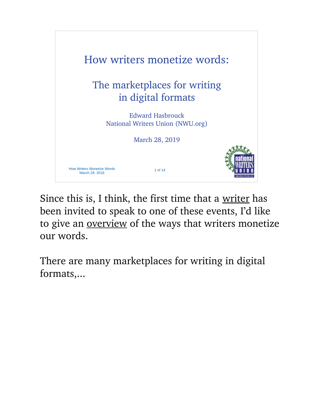

Since this is, I think, the first time that a writer has been invited to speak to one of these events, I'd like to give an <u>overview</u> of the ways that writers monetize our words.

There are many marketplaces for writing in digital formats,...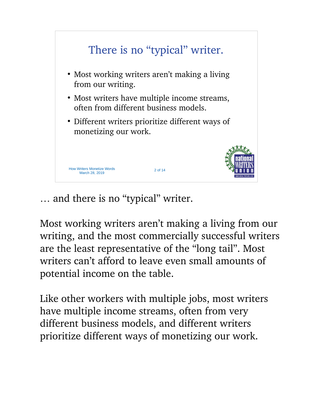

… and there is no "typical" writer.

Most working writers aren't making a living from our writing, and the most commercially successful writers are the least representative of the "long tail". Most writers can't afford to leave even small amounts of potential income on the table.

Like other workers with multiple jobs, most writers have multiple income streams, often from very different business models, and different writers prioritize different ways of monetizing our work.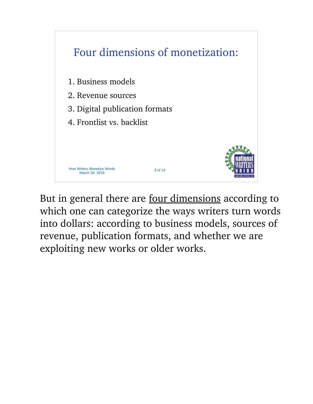

But in general there are four dimensions according to which one can categorize the ways writers turn words into dollars: according to business models, sources of revenue, publication formats, and whether we are exploiting new works or older works.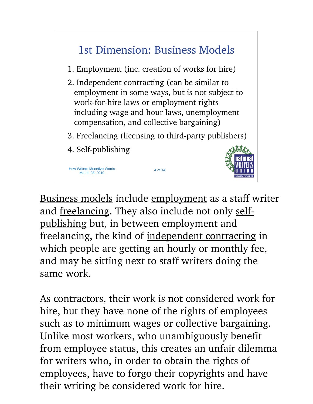

Business models include employment as a staff writer and <u>freelancing</u>. They also include not only selfpublishing but, in between employment and freelancing, the kind of independent contracting in which people are getting an hourly or monthly fee, and may be sitting next to staff writers doing the same work.

As contractors, their work is not considered work for hire, but they have none of the rights of employees such as to minimum wages or collective bargaining. Unlike most workers, who unambiguously benefit from employee status, this creates an unfair dilemma for writers who, in order to obtain the rights of employees, have to forgo their copyrights and have their writing be considered work for hire.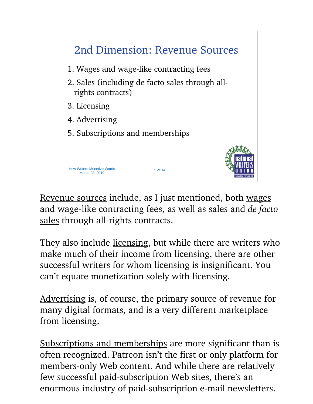

Revenue sources include, as I just mentioned, both wages and wage-like contracting fees, as well as sales and *de facto* sales through all-rights contracts.

They also include licensing, but while there are writers who make much of their income from licensing, there are other successful writers for whom licensing is insignificant. You can't equate monetization solely with licensing.

Advertising is, of course, the primary source of revenue for many digital formats, and is a very different marketplace from licensing.

Subscriptions and memberships are more significant than is often recognized. Patreon isn't the first or only platform for members-only Web content. And while there are relatively few successful paid-subscription Web sites, there's an enormous industry of paid-subscription e-mail newsletters.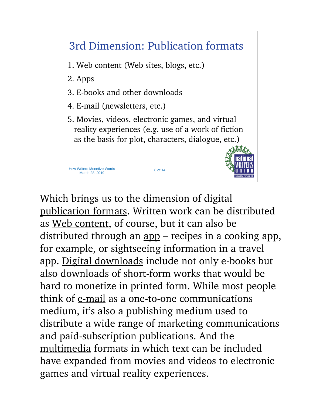

Which brings us to the dimension of digital publication formats. Written work can be distributed as Web content, of course, but it can also be distributed through an <u>app</u> – recipes in a cooking app, for example, or sightseeing information in a travel app. Digital downloads include not only e-books but also downloads of short-form works that would be hard to monetize in printed form. While most people think of e-mail as a one-to-one communications medium, it's also a publishing medium used to distribute a wide range of marketing communications and paid-subscription publications. And the multimedia formats in which text can be included have expanded from movies and videos to electronic games and virtual reality experiences.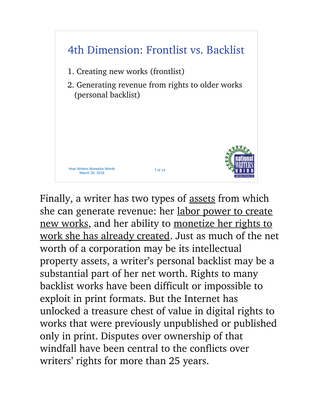

Finally, a writer has two types of assets from which she can generate revenue: her labor power to create new works, and her ability to monetize her rights to work she has already created. Just as much of the net worth of a corporation may be its intellectual property assets, a writer's personal backlist may be a substantial part of her net worth. Rights to many backlist works have been difficult or impossible to exploit in print formats. But the Internet has unlocked a treasure chest of value in digital rights to works that were previously unpublished or published only in print. Disputes over ownership of that windfall have been central to the conflicts over writers' rights for more than 25 years.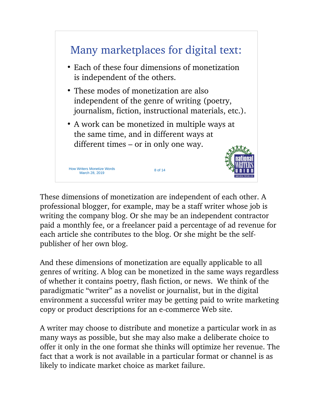

These dimensions of monetization are independent of each other. A professional blogger, for example, may be a staff writer whose job is writing the company blog. Or she may be an independent contractor paid a monthly fee, or a freelancer paid a percentage of ad revenue for each article she contributes to the blog. Or she might be the selfpublisher of her own blog.

And these dimensions of monetization are equally applicable to all genres of writing. A blog can be monetized in the same ways regardless of whether it contains poetry, flash fiction, or news. We think of the paradigmatic "writer" as a novelist or journalist, but in the digital environment a successful writer may be getting paid to write marketing copy or product descriptions for an e-commerce Web site.

A writer may choose to distribute and monetize a particular work in as many ways as possible, but she may also make a deliberate choice to offer it only in the one format she thinks will optimize her revenue. The fact that a work is not available in a particular format or channel is as likely to indicate market choice as market failure.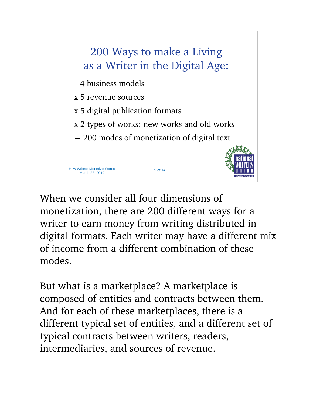

When we consider all four dimensions of monetization, there are 200 different ways for a writer to earn money from writing distributed in digital formats. Each writer may have a different mix of income from a different combination of these modes.

But what is a marketplace? A marketplace is composed of entities and contracts between them. And for each of these marketplaces, there is a different typical set of entities, and a different set of typical contracts between writers, readers, intermediaries, and sources of revenue.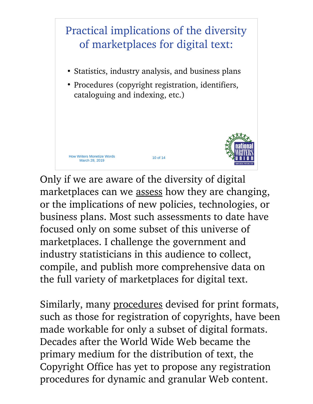

Only if we are aware of the diversity of digital marketplaces can we assess how they are changing, or the implications of new policies, technologies, or business plans. Most such assessments to date have focused only on some subset of this universe of marketplaces. I challenge the government and industry statisticians in this audience to collect, compile, and publish more comprehensive data on the full variety of marketplaces for digital text.

Similarly, many procedures devised for print formats, such as those for registration of copyrights, have been made workable for only a subset of digital formats. Decades after the World Wide Web became the primary medium for the distribution of text, the Copyright Office has yet to propose any registration procedures for dynamic and granular Web content.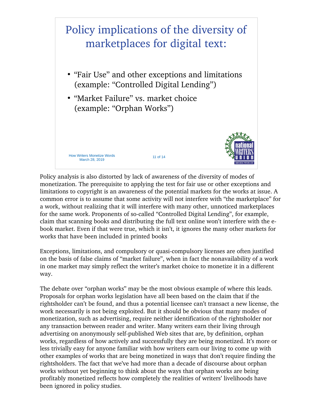

Policy analysis is also distorted by lack of awareness of the diversity of modes of monetization. The prerequisite to applying the test for fair use or other exceptions and limitations to copyright is an awareness of the potential markets for the works at issue. A common error is to assume that some activity will not interfere with "the marketplace" for a work, without realizing that it will interfere with many other, unnoticed marketplaces for the same work. Proponents of so-called "Controlled Digital Lending", for example, claim that scanning books and distributing the full text online won't interfere with the ebook market. Even if that were true, which it isn't, it ignores the many other markets for works that have been included in printed books

Exceptions, limitations, and compulsory or quasi-compulsory licenses are often justified on the basis of false claims of "market failure", when in fact the nonavailability of a work in one market may simply reflect the writer's market choice to monetize it in a different way.

The debate over "orphan works" may be the most obvious example of where this leads. Proposals for orphan works legislation have all been based on the claim that if the rightsholder can't be found, and thus a potential licensee can't transact a new license, the work necessarily is not being exploited. But it should be obvious that many modes of monetization, such as advertising, require neither identification of the rightsholder nor any transaction between reader and writer. Many writers earn their living through advertising on anonymously self-published Web sites that are, by definition, orphan works, regardless of how actively and successfully they are being monetized. It's more or less trivially easy for anyone familiar with how writers earn our living to come up with other examples of works that are being monetized in ways that don't require finding the rightsholders. The fact that we've had more than a decade of discourse about orphan works without yet beginning to think about the ways that orphan works are being profitably monetized reflects how completely the realities of writers' livelihoods have been ignored in policy studies.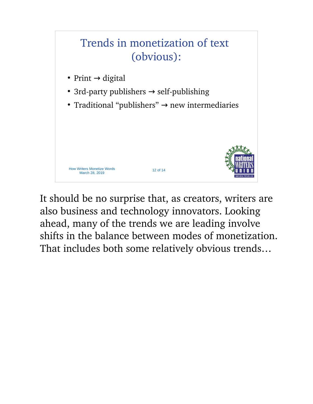

It should be no surprise that, as creators, writers are also business and technology innovators. Looking ahead, many of the trends we are leading involve shifts in the balance between modes of monetization. That includes both some relatively obvious trends…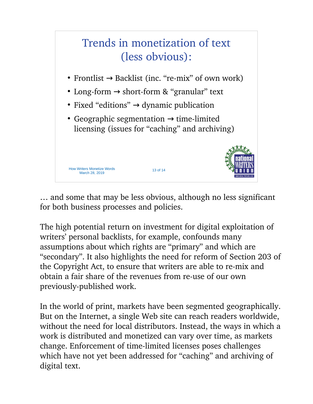

… and some that may be less obvious, although no less significant for both business processes and policies.

The high potential return on investment for digital exploitation of writers' personal backlists, for example, confounds many assumptions about which rights are "primary" and which are "secondary". It also highlights the need for reform of Section 203 of the Copyright Act, to ensure that writers are able to re-mix and obtain a fair share of the revenues from re-use of our own previously-published work.

In the world of print, markets have been segmented geographically. But on the Internet, a single Web site can reach readers worldwide, without the need for local distributors. Instead, the ways in which a work is distributed and monetized can vary over time, as markets change. Enforcement of time-limited licenses poses challenges which have not yet been addressed for "caching" and archiving of digital text.